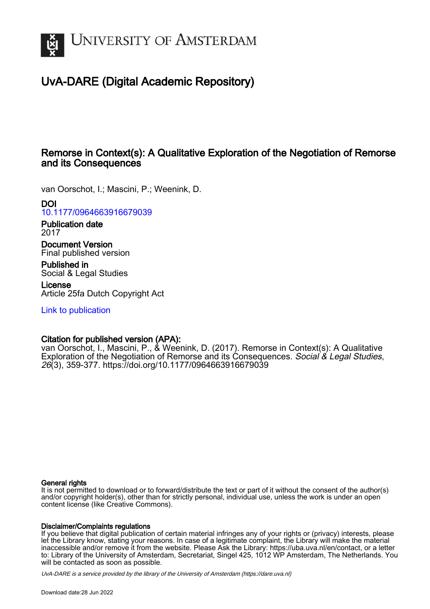

# UvA-DARE (Digital Academic Repository)

# Remorse in Context(s): A Qualitative Exploration of the Negotiation of Remorse and its Consequences

van Oorschot, I.; Mascini, P.; Weenink, D.

# DOI

[10.1177/0964663916679039](https://doi.org/10.1177/0964663916679039)

Publication date 2017

Document Version Final published version

Published in Social & Legal Studies

License Article 25fa Dutch Copyright Act

[Link to publication](https://dare.uva.nl/personal/pure/en/publications/remorse-in-contexts-a-qualitative-exploration-of-the-negotiation-of-remorse-and-its-consequences(3dc59b22-3c3a-4171-8383-336e50a71239).html)

# Citation for published version (APA):

van Oorschot, I., Mascini, P., & Weenink, D. (2017). Remorse in Context(s): A Qualitative Exploration of the Negotiation of Remorse and its Consequences. Social & Legal Studies, 26(3), 359-377.<https://doi.org/10.1177/0964663916679039>

#### General rights

It is not permitted to download or to forward/distribute the text or part of it without the consent of the author(s) and/or copyright holder(s), other than for strictly personal, individual use, unless the work is under an open content license (like Creative Commons).

#### Disclaimer/Complaints regulations

If you believe that digital publication of certain material infringes any of your rights or (privacy) interests, please let the Library know, stating your reasons. In case of a legitimate complaint, the Library will make the material inaccessible and/or remove it from the website. Please Ask the Library: https://uba.uva.nl/en/contact, or a letter to: Library of the University of Amsterdam, Secretariat, Singel 425, 1012 WP Amsterdam, The Netherlands. You will be contacted as soon as possible.

UvA-DARE is a service provided by the library of the University of Amsterdam (http*s*://dare.uva.nl)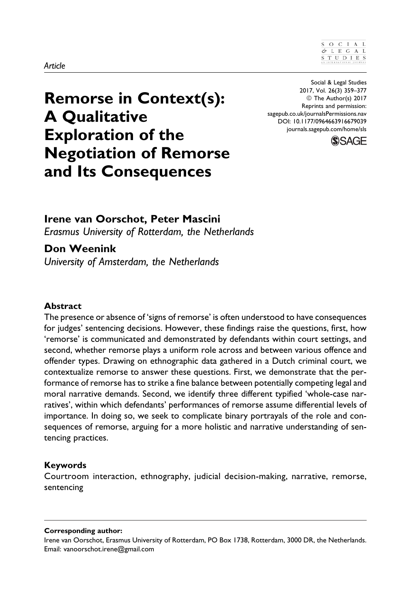# Remorse in Context(s): A Qualitative Exploration of the Negotiation of Remorse and Its Consequences

Social & Legal Studies 2017, Vol. 26(3) 359–377 © The Author(s) 2017 Reprints and permission: [sagepub.co.uk/journalsPermissions.nav](https://uk.sagepub.com/en-gb/journals-permissions) [DOI: 10.1177/0964663916679039](https://doi.org/10.1177/0964663916679039) [journals.sagepub.com/home/sls](http://journals.sagepub.com/home/sls)



Irene van Oorschot, Peter Mascini Erasmus University of Rotterdam, the Netherlands

# Don Weenink

University of Amsterdam, the Netherlands

#### Abstract

The presence or absence of 'signs of remorse' is often understood to have consequences for judges' sentencing decisions. However, these findings raise the questions, first, how 'remorse' is communicated and demonstrated by defendants within court settings, and second, whether remorse plays a uniform role across and between various offence and offender types. Drawing on ethnographic data gathered in a Dutch criminal court, we contextualize remorse to answer these questions. First, we demonstrate that the performance of remorse has to strike a fine balance between potentially competing legal and moral narrative demands. Second, we identify three different typified 'whole-case narratives', within which defendants' performances of remorse assume differential levels of importance. In doing so, we seek to complicate binary portrayals of the role and consequences of remorse, arguing for a more holistic and narrative understanding of sentencing practices.

### Keywords

Courtroom interaction, ethnography, judicial decision-making, narrative, remorse, sentencing

#### Corresponding author:

Irene van Oorschot, Erasmus University of Rotterdam, PO Box 1738, Rotterdam, 3000 DR, the Netherlands. Email: vanoorschot.irene@gmail.com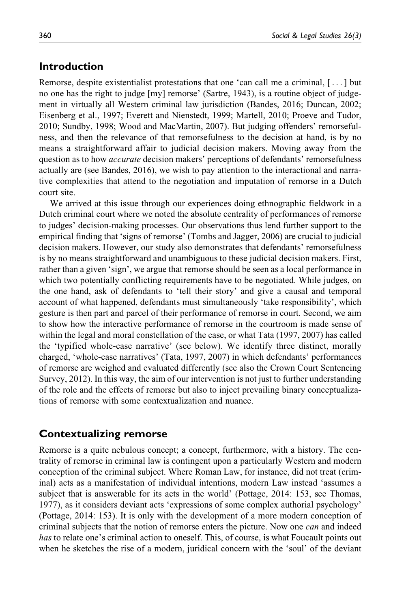#### Introduction

Remorse, despite existentialist protestations that one 'can call me a criminal, [... ] but no one has the right to judge [my] remorse' (Sartre, 1943), is a routine object of judgement in virtually all Western criminal law jurisdiction (Bandes, 2016; Duncan, 2002; Eisenberg et al., 1997; Everett and Nienstedt, 1999; Martell, 2010; Proeve and Tudor, 2010; Sundby, 1998; Wood and MacMartin, 2007). But judging offenders' remorsefulness, and then the relevance of that remorsefulness to the decision at hand, is by no means a straightforward affair to judicial decision makers. Moving away from the question as to how *accurate* decision makers' perceptions of defendants' remorsefulness actually are (see Bandes, 2016), we wish to pay attention to the interactional and narrative complexities that attend to the negotiation and imputation of remorse in a Dutch court site.

We arrived at this issue through our experiences doing ethnographic fieldwork in a Dutch criminal court where we noted the absolute centrality of performances of remorse to judges' decision-making processes. Our observations thus lend further support to the empirical finding that 'signs of remorse' (Tombs and Jagger, 2006) are crucial to judicial decision makers. However, our study also demonstrates that defendants' remorsefulness is by no means straightforward and unambiguous to these judicial decision makers. First, rather than a given 'sign', we argue that remorse should be seen as a local performance in which two potentially conflicting requirements have to be negotiated. While judges, on the one hand, ask of defendants to 'tell their story' and give a causal and temporal account of what happened, defendants must simultaneously 'take responsibility', which gesture is then part and parcel of their performance of remorse in court. Second, we aim to show how the interactive performance of remorse in the courtroom is made sense of within the legal and moral constellation of the case, or what Tata (1997, 2007) has called the 'typified whole-case narrative' (see below). We identify three distinct, morally charged, 'whole-case narratives' (Tata, 1997, 2007) in which defendants' performances of remorse are weighed and evaluated differently (see also the Crown Court Sentencing Survey, 2012). In this way, the aim of our intervention is not just to further understanding of the role and the effects of remorse but also to inject prevailing binary conceptualizations of remorse with some contextualization and nuance.

#### Contextualizing remorse

Remorse is a quite nebulous concept; a concept, furthermore, with a history. The centrality of remorse in criminal law is contingent upon a particularly Western and modern conception of the criminal subject. Where Roman Law, for instance, did not treat (criminal) acts as a manifestation of individual intentions, modern Law instead 'assumes a subject that is answerable for its acts in the world' (Pottage, 2014: 153, see Thomas, 1977), as it considers deviant acts 'expressions of some complex authorial psychology' (Pottage, 2014: 153). It is only with the development of a more modern conception of criminal subjects that the notion of remorse enters the picture. Now one *can* and indeed has to relate one's criminal action to oneself. This, of course, is what Foucault points out when he sketches the rise of a modern, juridical concern with the 'soul' of the deviant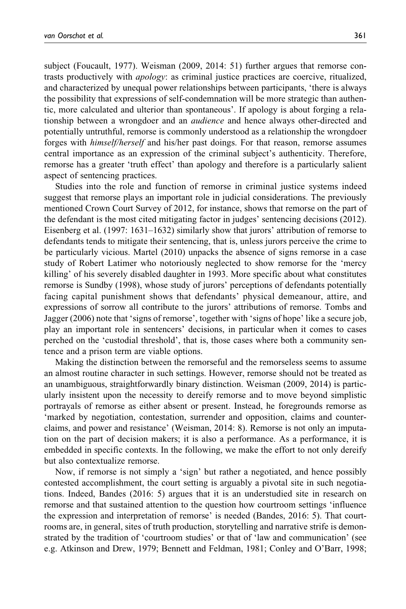subject (Foucault, 1977). Weisman (2009, 2014: 51) further argues that remorse contrasts productively with apology: as criminal justice practices are coercive, ritualized, and characterized by unequal power relationships between participants, 'there is always the possibility that expressions of self-condemnation will be more strategic than authentic, more calculated and ulterior than spontaneous'. If apology is about forging a relationship between a wrongdoer and an audience and hence always other-directed and potentially untruthful, remorse is commonly understood as a relationship the wrongdoer forges with himself/herself and his/her past doings. For that reason, remorse assumes central importance as an expression of the criminal subject's authenticity. Therefore, remorse has a greater 'truth effect' than apology and therefore is a particularly salient aspect of sentencing practices.

Studies into the role and function of remorse in criminal justice systems indeed suggest that remorse plays an important role in judicial considerations. The previously mentioned Crown Court Survey of 2012, for instance, shows that remorse on the part of the defendant is the most cited mitigating factor in judges' sentencing decisions (2012). Eisenberg et al. (1997: 1631–1632) similarly show that jurors' attribution of remorse to defendants tends to mitigate their sentencing, that is, unless jurors perceive the crime to be particularly vicious. Martel (2010) unpacks the absence of signs remorse in a case study of Robert Latimer who notoriously neglected to show remorse for the 'mercy killing' of his severely disabled daughter in 1993. More specific about what constitutes remorse is Sundby (1998), whose study of jurors' perceptions of defendants potentially facing capital punishment shows that defendants' physical demeanour, attire, and expressions of sorrow all contribute to the jurors' attributions of remorse. Tombs and Jagger (2006) note that 'signs of remorse', together with 'signs of hope' like a secure job, play an important role in sentencers' decisions, in particular when it comes to cases perched on the 'custodial threshold', that is, those cases where both a community sentence and a prison term are viable options.

Making the distinction between the remorseful and the remorseless seems to assume an almost routine character in such settings. However, remorse should not be treated as an unambiguous, straightforwardly binary distinction. Weisman (2009, 2014) is particularly insistent upon the necessity to dereify remorse and to move beyond simplistic portrayals of remorse as either absent or present. Instead, he foregrounds remorse as 'marked by negotiation, contestation, surrender and opposition, claims and counterclaims, and power and resistance' (Weisman, 2014: 8). Remorse is not only an imputation on the part of decision makers; it is also a performance. As a performance, it is embedded in specific contexts. In the following, we make the effort to not only dereify but also contextualize remorse.

Now, if remorse is not simply a 'sign' but rather a negotiated, and hence possibly contested accomplishment, the court setting is arguably a pivotal site in such negotiations. Indeed, Bandes (2016: 5) argues that it is an understudied site in research on remorse and that sustained attention to the question how courtroom settings 'influence the expression and interpretation of remorse' is needed (Bandes, 2016: 5). That courtrooms are, in general, sites of truth production, storytelling and narrative strife is demonstrated by the tradition of 'courtroom studies' or that of 'law and communication' (see e.g. Atkinson and Drew, 1979; Bennett and Feldman, 1981; Conley and O'Barr, 1998;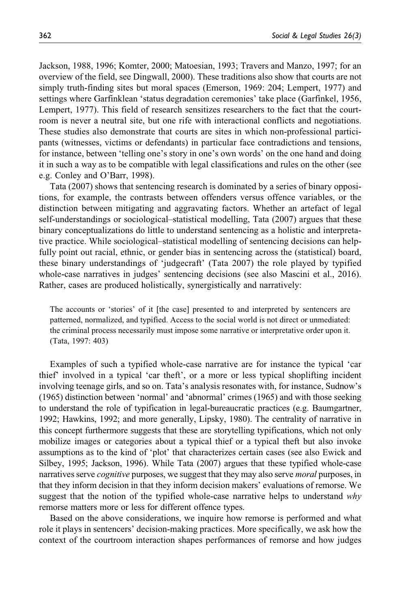Jackson, 1988, 1996; Komter, 2000; Matoesian, 1993; Travers and Manzo, 1997; for an overview of the field, see Dingwall, 2000). These traditions also show that courts are not simply truth-finding sites but moral spaces (Emerson, 1969: 204; Lempert, 1977) and settings where Garfinklean 'status degradation ceremonies' take place (Garfinkel, 1956, Lempert, 1977). This field of research sensitizes researchers to the fact that the courtroom is never a neutral site, but one rife with interactional conflicts and negotiations. These studies also demonstrate that courts are sites in which non-professional participants (witnesses, victims or defendants) in particular face contradictions and tensions, for instance, between 'telling one's story in one's own words' on the one hand and doing it in such a way as to be compatible with legal classifications and rules on the other (see e.g. Conley and O'Barr, 1998).

Tata (2007) shows that sentencing research is dominated by a series of binary oppositions, for example, the contrasts between offenders versus offence variables, or the distinction between mitigating and aggravating factors. Whether an artefact of legal self-understandings or sociological–statistical modelling, Tata (2007) argues that these binary conceptualizations do little to understand sentencing as a holistic and interpretative practice. While sociological–statistical modelling of sentencing decisions can helpfully point out racial, ethnic, or gender bias in sentencing across the (statistical) board, these binary understandings of 'judgecraft' (Tata 2007) the role played by typified whole-case narratives in judges' sentencing decisions (see also Mascini et al., 2016). Rather, cases are produced holistically, synergistically and narratively:

The accounts or 'stories' of it [the case] presented to and interpreted by sentencers are patterned, normalized, and typified. Access to the social world is not direct or unmediated: the criminal process necessarily must impose some narrative or interpretative order upon it. (Tata, 1997: 403)

Examples of such a typified whole-case narrative are for instance the typical 'car thief' involved in a typical 'car theft', or a more or less typical shoplifting incident involving teenage girls, and so on. Tata's analysis resonates with, for instance, Sudnow's (1965) distinction between 'normal' and 'abnormal' crimes (1965) and with those seeking to understand the role of typification in legal-bureaucratic practices (e.g. Baumgartner, 1992; Hawkins, 1992; and more generally, Lipsky, 1980). The centrality of narrative in this concept furthermore suggests that these are storytelling typifications, which not only mobilize images or categories about a typical thief or a typical theft but also invoke assumptions as to the kind of 'plot' that characterizes certain cases (see also Ewick and Silbey, 1995; Jackson, 1996). While Tata (2007) argues that these typified whole-case narratives serve *cognitive* purposes, we suggest that they may also serve *moral* purposes, in that they inform decision in that they inform decision makers' evaluations of remorse. We suggest that the notion of the typified whole-case narrative helps to understand  $why$ remorse matters more or less for different offence types.

Based on the above considerations, we inquire how remorse is performed and what role it plays in sentencers' decision-making practices. More specifically, we ask how the context of the courtroom interaction shapes performances of remorse and how judges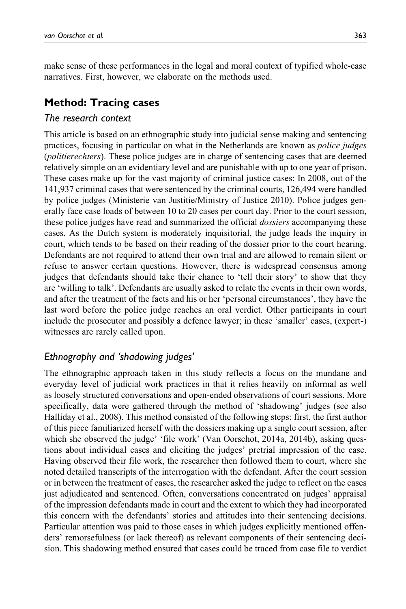make sense of these performances in the legal and moral context of typified whole-case narratives. First, however, we elaborate on the methods used.

## Method: Tracing cases

#### The research context

This article is based on an ethnographic study into judicial sense making and sentencing practices, focusing in particular on what in the Netherlands are known as police judges (politierechters). These police judges are in charge of sentencing cases that are deemed relatively simple on an evidentiary level and are punishable with up to one year of prison. These cases make up for the vast majority of criminal justice cases: In 2008, out of the 141,937 criminal cases that were sentenced by the criminal courts, 126,494 were handled by police judges (Ministerie van Justitie/Ministry of Justice 2010). Police judges generally face case loads of between 10 to 20 cases per court day. Prior to the court session, these police judges have read and summarized the official dossiers accompanying these cases. As the Dutch system is moderately inquisitorial, the judge leads the inquiry in court, which tends to be based on their reading of the dossier prior to the court hearing. Defendants are not required to attend their own trial and are allowed to remain silent or refuse to answer certain questions. However, there is widespread consensus among judges that defendants should take their chance to 'tell their story' to show that they are 'willing to talk'. Defendants are usually asked to relate the events in their own words, and after the treatment of the facts and his or her 'personal circumstances', they have the last word before the police judge reaches an oral verdict. Other participants in court include the prosecutor and possibly a defence lawyer; in these 'smaller' cases, (expert-) witnesses are rarely called upon.

# Ethnography and 'shadowing judges'

The ethnographic approach taken in this study reflects a focus on the mundane and everyday level of judicial work practices in that it relies heavily on informal as well as loosely structured conversations and open-ended observations of court sessions. More specifically, data were gathered through the method of 'shadowing' judges (see also Halliday et al., 2008). This method consisted of the following steps: first, the first author of this piece familiarized herself with the dossiers making up a single court session, after which she observed the judge' 'file work' (Van Oorschot, 2014a, 2014b), asking questions about individual cases and eliciting the judges' pretrial impression of the case. Having observed their file work, the researcher then followed them to court, where she noted detailed transcripts of the interrogation with the defendant. After the court session or in between the treatment of cases, the researcher asked the judge to reflect on the cases just adjudicated and sentenced. Often, conversations concentrated on judges' appraisal of the impression defendants made in court and the extent to which they had incorporated this concern with the defendants' stories and attitudes into their sentencing decisions. Particular attention was paid to those cases in which judges explicitly mentioned offenders' remorsefulness (or lack thereof) as relevant components of their sentencing decision. This shadowing method ensured that cases could be traced from case file to verdict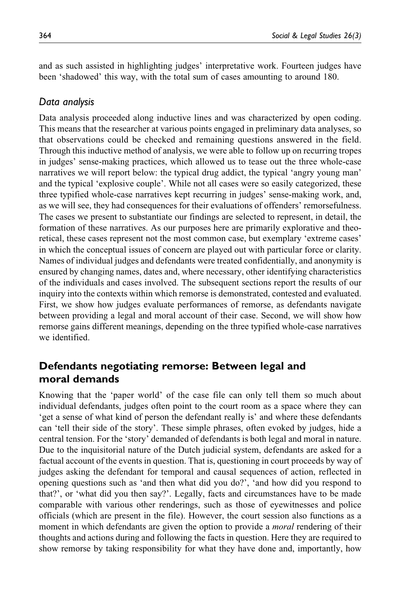and as such assisted in highlighting judges' interpretative work. Fourteen judges have been 'shadowed' this way, with the total sum of cases amounting to around 180.

## Data analysis

Data analysis proceeded along inductive lines and was characterized by open coding. This means that the researcher at various points engaged in preliminary data analyses, so that observations could be checked and remaining questions answered in the field. Through this inductive method of analysis, we were able to follow up on recurring tropes in judges' sense-making practices, which allowed us to tease out the three whole-case narratives we will report below: the typical drug addict, the typical 'angry young man' and the typical 'explosive couple'. While not all cases were so easily categorized, these three typified whole-case narratives kept recurring in judges' sense-making work, and, as we will see, they had consequences for their evaluations of offenders' remorsefulness. The cases we present to substantiate our findings are selected to represent, in detail, the formation of these narratives. As our purposes here are primarily explorative and theoretical, these cases represent not the most common case, but exemplary 'extreme cases' in which the conceptual issues of concern are played out with particular force or clarity. Names of individual judges and defendants were treated confidentially, and anonymity is ensured by changing names, dates and, where necessary, other identifying characteristics of the individuals and cases involved. The subsequent sections report the results of our inquiry into the contexts within which remorse is demonstrated, contested and evaluated. First, we show how judges evaluate performances of remorse, as defendants navigate between providing a legal and moral account of their case. Second, we will show how remorse gains different meanings, depending on the three typified whole-case narratives we identified.

# Defendants negotiating remorse: Between legal and moral demands

Knowing that the 'paper world' of the case file can only tell them so much about individual defendants, judges often point to the court room as a space where they can 'get a sense of what kind of person the defendant really is' and where these defendants can 'tell their side of the story'. These simple phrases, often evoked by judges, hide a central tension. For the 'story' demanded of defendants is both legal and moral in nature. Due to the inquisitorial nature of the Dutch judicial system, defendants are asked for a factual account of the events in question. That is, questioning in court proceeds by way of judges asking the defendant for temporal and causal sequences of action, reflected in opening questions such as 'and then what did you do?', 'and how did you respond to that?', or 'what did you then say?'. Legally, facts and circumstances have to be made comparable with various other renderings, such as those of eyewitnesses and police officials (which are present in the file). However, the court session also functions as a moment in which defendants are given the option to provide a *moral* rendering of their thoughts and actions during and following the facts in question. Here they are required to show remorse by taking responsibility for what they have done and, importantly, how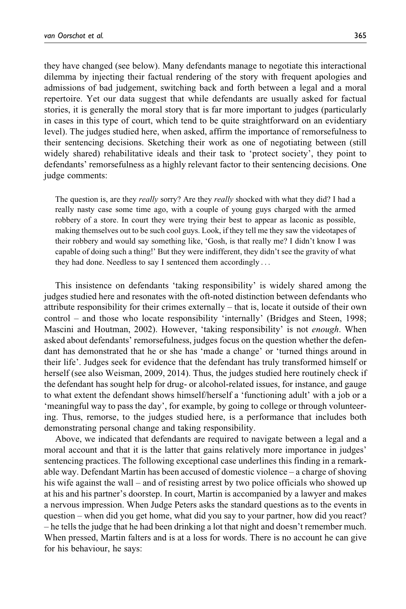they have changed (see below). Many defendants manage to negotiate this interactional dilemma by injecting their factual rendering of the story with frequent apologies and admissions of bad judgement, switching back and forth between a legal and a moral repertoire. Yet our data suggest that while defendants are usually asked for factual stories, it is generally the moral story that is far more important to judges (particularly in cases in this type of court, which tend to be quite straightforward on an evidentiary level). The judges studied here, when asked, affirm the importance of remorsefulness to their sentencing decisions. Sketching their work as one of negotiating between (still widely shared) rehabilitative ideals and their task to 'protect society', they point to defendants' remorsefulness as a highly relevant factor to their sentencing decisions. One judge comments:

The question is, are they really sorry? Are they really shocked with what they did? I had a really nasty case some time ago, with a couple of young guys charged with the armed robbery of a store. In court they were trying their best to appear as laconic as possible, making themselves out to be such cool guys. Look, if they tell me they saw the videotapes of their robbery and would say something like, 'Gosh, is that really me? I didn't know I was capable of doing such a thing!' But they were indifferent, they didn't see the gravity of what they had done. Needless to say I sentenced them accordingly ...

This insistence on defendants 'taking responsibility' is widely shared among the judges studied here and resonates with the oft-noted distinction between defendants who attribute responsibility for their crimes externally – that is, locate it outside of their own control – and those who locate responsibility 'internally' (Bridges and Steen, 1998; Mascini and Houtman, 2002). However, 'taking responsibility' is not *enough*. When asked about defendants' remorsefulness, judges focus on the question whether the defendant has demonstrated that he or she has 'made a change' or 'turned things around in their life'. Judges seek for evidence that the defendant has truly transformed himself or herself (see also Weisman, 2009, 2014). Thus, the judges studied here routinely check if the defendant has sought help for drug- or alcohol-related issues, for instance, and gauge to what extent the defendant shows himself/herself a 'functioning adult' with a job or a 'meaningful way to pass the day', for example, by going to college or through volunteering. Thus, remorse, to the judges studied here, is a performance that includes both demonstrating personal change and taking responsibility.

Above, we indicated that defendants are required to navigate between a legal and a moral account and that it is the latter that gains relatively more importance in judges' sentencing practices. The following exceptional case underlines this finding in a remarkable way. Defendant Martin has been accused of domestic violence – a charge of shoving his wife against the wall – and of resisting arrest by two police officials who showed up at his and his partner's doorstep. In court, Martin is accompanied by a lawyer and makes a nervous impression. When Judge Peters asks the standard questions as to the events in question – when did you get home, what did you say to your partner, how did you react? – he tells the judge that he had been drinking a lot that night and doesn't remember much. When pressed, Martin falters and is at a loss for words. There is no account he can give for his behaviour, he says: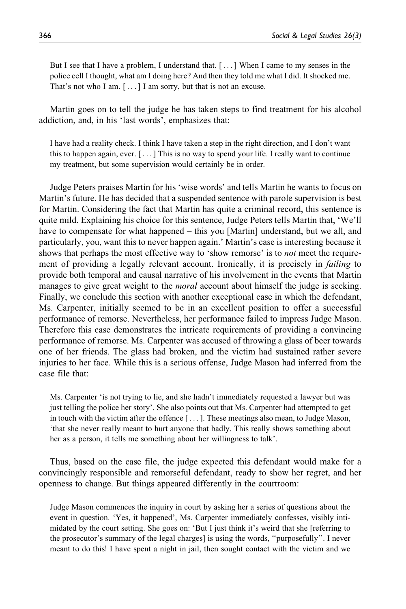But I see that I have a problem, I understand that. [ ... ] When I came to my senses in the police cell I thought, what am I doing here? And then they told me what I did. It shocked me. That's not who I am. [ ...] I am sorry, but that is not an excuse.

Martin goes on to tell the judge he has taken steps to find treatment for his alcohol addiction, and, in his 'last words', emphasizes that:

I have had a reality check. I think I have taken a step in the right direction, and I don't want this to happen again, ever. [ ...] This is no way to spend your life. I really want to continue my treatment, but some supervision would certainly be in order.

Judge Peters praises Martin for his 'wise words' and tells Martin he wants to focus on Martin's future. He has decided that a suspended sentence with parole supervision is best for Martin. Considering the fact that Martin has quite a criminal record, this sentence is quite mild. Explaining his choice for this sentence, Judge Peters tells Martin that, 'We'll have to compensate for what happened – this you [Martin] understand, but we all, and particularly, you, want this to never happen again.' Martin's case is interesting because it shows that perhaps the most effective way to 'show remorse' is to *not* meet the requirement of providing a legally relevant account. Ironically, it is precisely in *failing* to provide both temporal and causal narrative of his involvement in the events that Martin manages to give great weight to the *moral* account about himself the judge is seeking. Finally, we conclude this section with another exceptional case in which the defendant, Ms. Carpenter, initially seemed to be in an excellent position to offer a successful performance of remorse. Nevertheless, her performance failed to impress Judge Mason. Therefore this case demonstrates the intricate requirements of providing a convincing performance of remorse. Ms. Carpenter was accused of throwing a glass of beer towards one of her friends. The glass had broken, and the victim had sustained rather severe injuries to her face. While this is a serious offense, Judge Mason had inferred from the case file that:

Ms. Carpenter 'is not trying to lie, and she hadn't immediately requested a lawyer but was just telling the police her story'. She also points out that Ms. Carpenter had attempted to get in touch with the victim after the offence [ ... ]. These meetings also mean, to Judge Mason, 'that she never really meant to hurt anyone that badly. This really shows something about her as a person, it tells me something about her willingness to talk'.

Thus, based on the case file, the judge expected this defendant would make for a convincingly responsible and remorseful defendant, ready to show her regret, and her openness to change. But things appeared differently in the courtroom:

Judge Mason commences the inquiry in court by asking her a series of questions about the event in question. 'Yes, it happened', Ms. Carpenter immediately confesses, visibly intimidated by the court setting. She goes on: 'But I just think it's weird that she [referring to the prosecutor's summary of the legal charges] is using the words, ''purposefully''. I never meant to do this! I have spent a night in jail, then sought contact with the victim and we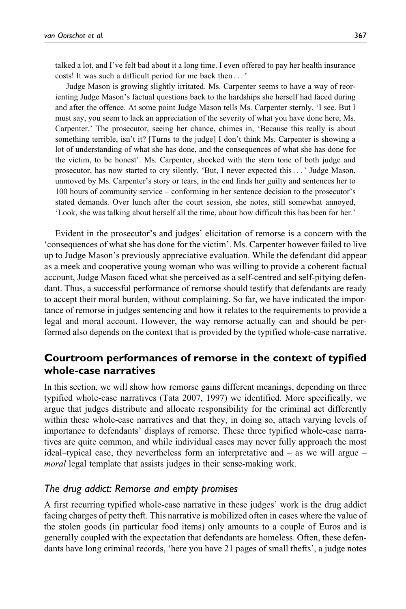talked a lot, and I've felt bad about it a long time. I even offered to pay her health insurance costs! It was such a difficult period for me back then ...'

Judge Mason is growing slightly irritated. Ms. Carpenter seems to have a way of reorienting Judge Mason's factual questions back to the hardships she herself had faced during and after the offence. At some point Judge Mason tells Ms. Carpenter sternly, 'I see. But I must say, you seem to lack an appreciation of the severity of what you have done here, Ms. Carpenter.' The prosecutor, seeing her chance, chimes in, 'Because this really is about something terrible, isn't it? [Turns to the judge] I don't think Ms. Carpenter is showing a lot of understanding of what she has done, and the consequences of what she has done for the victim, to be honest'. Ms. Carpenter, shocked with the stern tone of both judge and prosecutor, has now started to cry silently, 'But, I never expected this... ' Judge Mason, unmoved by Ms. Carpenter's story or tears, in the end finds her guilty and sentences her to 100 hours of community service – conforming in her sentence decision to the prosecutor's stated demands. Over lunch after the court session, she notes, still somewhat annoyed, 'Look, she was talking about herself all the time, about how difficult this has been for her.'

Evident in the prosecutor's and judges' elicitation of remorse is a concern with the 'consequences of what she has done for the victim'. Ms. Carpenter however failed to live up to Judge Mason's previously appreciative evaluation. While the defendant did appear as a meek and cooperative young woman who was willing to provide a coherent factual account, Judge Mason faced what she perceived as a self-centred and self-pitying defendant. Thus, a successful performance of remorse should testify that defendants are ready to accept their moral burden, without complaining. So far, we have indicated the importance of remorse in judges sentencing and how it relates to the requirements to provide a legal and moral account. However, the way remorse actually can and should be performed also depends on the context that is provided by the typified whole-case narrative.

# Courtroom performances of remorse in the context of typified whole-case narratives

In this section, we will show how remorse gains different meanings, depending on three typified whole-case narratives (Tata 2007, 1997) we identified. More specifically, we argue that judges distribute and allocate responsibility for the criminal act differently within these whole-case narratives and that they, in doing so, attach varying levels of importance to defendants' displays of remorse. These three typified whole-case narratives are quite common, and while individual cases may never fully approach the most ideal–typical case, they nevertheless form an interpretative and  $-$  as we will argue  $$ moral legal template that assists judges in their sense-making work.

#### The drug addict: Remorse and empty promises

A first recurring typified whole-case narrative in these judges' work is the drug addict facing charges of petty theft. This narrative is mobilized often in cases where the value of the stolen goods (in particular food items) only amounts to a couple of Euros and is generally coupled with the expectation that defendants are homeless. Often, these defendants have long criminal records, 'here you have 21 pages of small thefts', a judge notes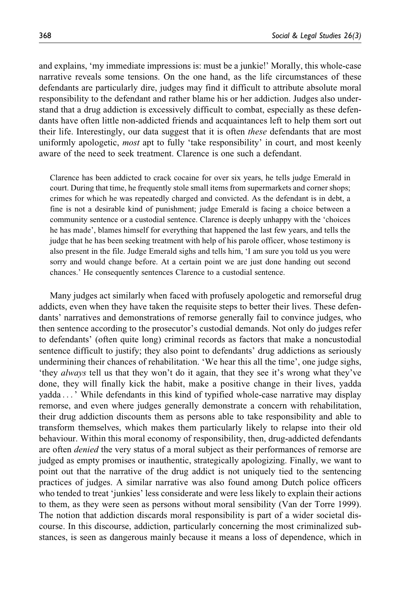and explains, 'my immediate impressions is: must be a junkie!' Morally, this whole-case narrative reveals some tensions. On the one hand, as the life circumstances of these defendants are particularly dire, judges may find it difficult to attribute absolute moral responsibility to the defendant and rather blame his or her addiction. Judges also understand that a drug addiction is excessively difficult to combat, especially as these defendants have often little non-addicted friends and acquaintances left to help them sort out their life. Interestingly, our data suggest that it is often *these* defendants that are most uniformly apologetic, *most* apt to fully 'take responsibility' in court, and most keenly aware of the need to seek treatment. Clarence is one such a defendant.

Clarence has been addicted to crack cocaine for over six years, he tells judge Emerald in court. During that time, he frequently stole small items from supermarkets and corner shops; crimes for which he was repeatedly charged and convicted. As the defendant is in debt, a fine is not a desirable kind of punishment; judge Emerald is facing a choice between a community sentence or a custodial sentence. Clarence is deeply unhappy with the 'choices he has made', blames himself for everything that happened the last few years, and tells the judge that he has been seeking treatment with help of his parole officer, whose testimony is also present in the file. Judge Emerald sighs and tells him, 'I am sure you told us you were sorry and would change before. At a certain point we are just done handing out second chances.' He consequently sentences Clarence to a custodial sentence.

Many judges act similarly when faced with profusely apologetic and remorseful drug addicts, even when they have taken the requisite steps to better their lives. These defendants' narratives and demonstrations of remorse generally fail to convince judges, who then sentence according to the prosecutor's custodial demands. Not only do judges refer to defendants' (often quite long) criminal records as factors that make a noncustodial sentence difficult to justify; they also point to defendants' drug addictions as seriously undermining their chances of rehabilitation. 'We hear this all the time', one judge sighs, 'they always tell us that they won't do it again, that they see it's wrong what they've done, they will finally kick the habit, make a positive change in their lives, yadda yadda ... ' While defendants in this kind of typified whole-case narrative may display remorse, and even where judges generally demonstrate a concern with rehabilitation, their drug addiction discounts them as persons able to take responsibility and able to transform themselves, which makes them particularly likely to relapse into their old behaviour. Within this moral economy of responsibility, then, drug-addicted defendants are often *denied* the very status of a moral subject as their performances of remorse are judged as empty promises or inauthentic, strategically apologizing. Finally, we want to point out that the narrative of the drug addict is not uniquely tied to the sentencing practices of judges. A similar narrative was also found among Dutch police officers who tended to treat 'junkies' less considerate and were less likely to explain their actions to them, as they were seen as persons without moral sensibility (Van der Torre 1999). The notion that addiction discards moral responsibility is part of a wider societal discourse. In this discourse, addiction, particularly concerning the most criminalized substances, is seen as dangerous mainly because it means a loss of dependence, which in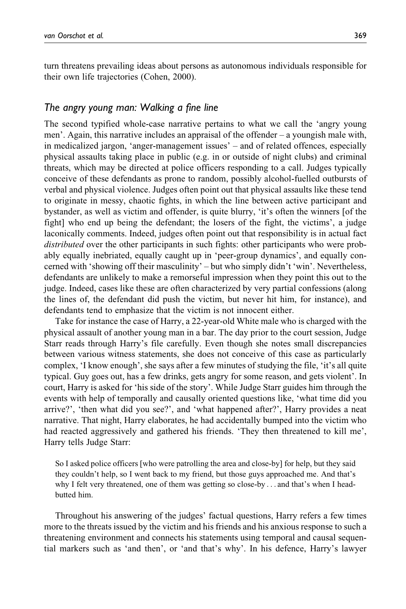turn threatens prevailing ideas about persons as autonomous individuals responsible for their own life trajectories (Cohen, 2000).

#### The angry young man: Walking a fine line

The second typified whole-case narrative pertains to what we call the 'angry young men'. Again, this narrative includes an appraisal of the offender – a youngish male with, in medicalized jargon, 'anger-management issues' – and of related offences, especially physical assaults taking place in public (e.g. in or outside of night clubs) and criminal threats, which may be directed at police officers responding to a call. Judges typically conceive of these defendants as prone to random, possibly alcohol-fuelled outbursts of verbal and physical violence. Judges often point out that physical assaults like these tend to originate in messy, chaotic fights, in which the line between active participant and bystander, as well as victim and offender, is quite blurry, 'it's often the winners [of the fight] who end up being the defendant; the losers of the fight, the victims', a judge laconically comments. Indeed, judges often point out that responsibility is in actual fact distributed over the other participants in such fights: other participants who were probably equally inebriated, equally caught up in 'peer-group dynamics', and equally concerned with 'showing off their masculinity' – but who simply didn't 'win'. Nevertheless, defendants are unlikely to make a remorseful impression when they point this out to the judge. Indeed, cases like these are often characterized by very partial confessions (along the lines of, the defendant did push the victim, but never hit him, for instance), and defendants tend to emphasize that the victim is not innocent either.

Take for instance the case of Harry, a 22-year-old White male who is charged with the physical assault of another young man in a bar. The day prior to the court session, Judge Starr reads through Harry's file carefully. Even though she notes small discrepancies between various witness statements, she does not conceive of this case as particularly complex, 'I know enough', she says after a few minutes of studying the file, 'it's all quite typical. Guy goes out, has a few drinks, gets angry for some reason, and gets violent'. In court, Harry is asked for 'his side of the story'. While Judge Starr guides him through the events with help of temporally and causally oriented questions like, 'what time did you arrive?', 'then what did you see?', and 'what happened after?', Harry provides a neat narrative. That night, Harry elaborates, he had accidentally bumped into the victim who had reacted aggressively and gathered his friends. 'They then threatened to kill me', Harry tells Judge Starr:

So I asked police officers [who were patrolling the area and close-by] for help, but they said they couldn't help, so I went back to my friend, but those guys approached me. And that's why I felt very threatened, one of them was getting so close-by ... and that's when I headbutted him.

Throughout his answering of the judges' factual questions, Harry refers a few times more to the threats issued by the victim and his friends and his anxious response to such a threatening environment and connects his statements using temporal and causal sequential markers such as 'and then', or 'and that's why'. In his defence, Harry's lawyer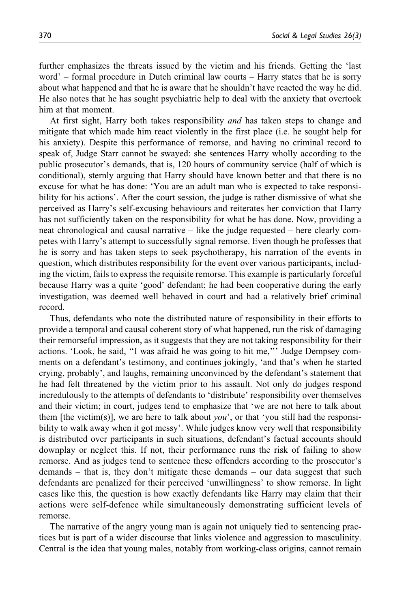further emphasizes the threats issued by the victim and his friends. Getting the 'last word' – formal procedure in Dutch criminal law courts – Harry states that he is sorry about what happened and that he is aware that he shouldn't have reacted the way he did. He also notes that he has sought psychiatric help to deal with the anxiety that overtook him at that moment.

At first sight, Harry both takes responsibility *and* has taken steps to change and mitigate that which made him react violently in the first place (i.e. he sought help for his anxiety). Despite this performance of remorse, and having no criminal record to speak of, Judge Starr cannot be swayed: she sentences Harry wholly according to the public prosecutor's demands, that is, 120 hours of community service (half of which is conditional), sternly arguing that Harry should have known better and that there is no excuse for what he has done: 'You are an adult man who is expected to take responsibility for his actions'. After the court session, the judge is rather dismissive of what she perceived as Harry's self-excusing behaviours and reiterates her conviction that Harry has not sufficiently taken on the responsibility for what he has done. Now, providing a neat chronological and causal narrative – like the judge requested – here clearly competes with Harry's attempt to successfully signal remorse. Even though he professes that he is sorry and has taken steps to seek psychotherapy, his narration of the events in question, which distributes responsibility for the event over various participants, including the victim, fails to express the requisite remorse. This example is particularly forceful because Harry was a quite 'good' defendant; he had been cooperative during the early investigation, was deemed well behaved in court and had a relatively brief criminal record.

Thus, defendants who note the distributed nature of responsibility in their efforts to provide a temporal and causal coherent story of what happened, run the risk of damaging their remorseful impression, as it suggests that they are not taking responsibility for their actions. 'Look, he said, ''I was afraid he was going to hit me,''' Judge Dempsey comments on a defendant's testimony, and continues jokingly, 'and that's when he started crying, probably', and laughs, remaining unconvinced by the defendant's statement that he had felt threatened by the victim prior to his assault. Not only do judges respond incredulously to the attempts of defendants to 'distribute' responsibility over themselves and their victim; in court, judges tend to emphasize that 'we are not here to talk about them [the victim(s)], we are here to talk about *you*', or that 'you still had the responsibility to walk away when it got messy'. While judges know very well that responsibility is distributed over participants in such situations, defendant's factual accounts should downplay or neglect this. If not, their performance runs the risk of failing to show remorse. And as judges tend to sentence these offenders according to the prosecutor's demands – that is, they don't mitigate these demands – our data suggest that such defendants are penalized for their perceived 'unwillingness' to show remorse. In light cases like this, the question is how exactly defendants like Harry may claim that their actions were self-defence while simultaneously demonstrating sufficient levels of remorse.

The narrative of the angry young man is again not uniquely tied to sentencing practices but is part of a wider discourse that links violence and aggression to masculinity. Central is the idea that young males, notably from working-class origins, cannot remain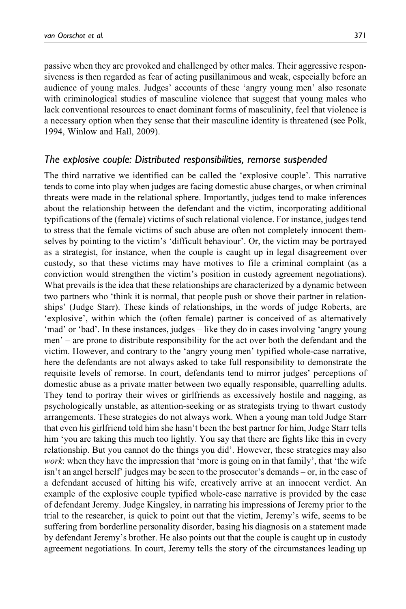passive when they are provoked and challenged by other males. Their aggressive responsiveness is then regarded as fear of acting pusillanimous and weak, especially before an audience of young males. Judges' accounts of these 'angry young men' also resonate with criminological studies of masculine violence that suggest that young males who lack conventional resources to enact dominant forms of masculinity, feel that violence is a necessary option when they sense that their masculine identity is threatened (see Polk, 1994, Winlow and Hall, 2009).

## The explosive couple: Distributed responsibilities, remorse suspended

The third narrative we identified can be called the 'explosive couple'. This narrative tends to come into play when judges are facing domestic abuse charges, or when criminal threats were made in the relational sphere. Importantly, judges tend to make inferences about the relationship between the defendant and the victim, incorporating additional typifications of the (female) victims of such relational violence. For instance, judges tend to stress that the female victims of such abuse are often not completely innocent themselves by pointing to the victim's 'difficult behaviour'. Or, the victim may be portrayed as a strategist, for instance, when the couple is caught up in legal disagreement over custody, so that these victims may have motives to file a criminal complaint (as a conviction would strengthen the victim's position in custody agreement negotiations). What prevails is the idea that these relationships are characterized by a dynamic between two partners who 'think it is normal, that people push or shove their partner in relationships' (Judge Starr). These kinds of relationships, in the words of judge Roberts, are 'explosive', within which the (often female) partner is conceived of as alternatively 'mad' or 'bad'. In these instances, judges – like they do in cases involving 'angry young men' – are prone to distribute responsibility for the act over both the defendant and the victim. However, and contrary to the 'angry young men' typified whole-case narrative, here the defendants are not always asked to take full responsibility to demonstrate the requisite levels of remorse. In court, defendants tend to mirror judges' perceptions of domestic abuse as a private matter between two equally responsible, quarrelling adults. They tend to portray their wives or girlfriends as excessively hostile and nagging, as psychologically unstable, as attention-seeking or as strategists trying to thwart custody arrangements. These strategies do not always work. When a young man told Judge Starr that even his girlfriend told him she hasn't been the best partner for him, Judge Starr tells him 'you are taking this much too lightly. You say that there are fights like this in every relationship. But you cannot do the things you did'. However, these strategies may also work: when they have the impression that 'more is going on in that family', that 'the wife isn't an angel herself' judges may be seen to the prosecutor's demands – or, in the case of a defendant accused of hitting his wife, creatively arrive at an innocent verdict. An example of the explosive couple typified whole-case narrative is provided by the case of defendant Jeremy. Judge Kingsley, in narrating his impressions of Jeremy prior to the trial to the researcher, is quick to point out that the victim, Jeremy's wife, seems to be suffering from borderline personality disorder, basing his diagnosis on a statement made by defendant Jeremy's brother. He also points out that the couple is caught up in custody agreement negotiations. In court, Jeremy tells the story of the circumstances leading up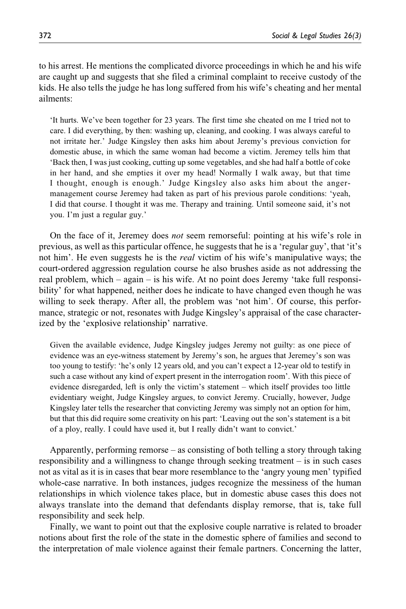to his arrest. He mentions the complicated divorce proceedings in which he and his wife are caught up and suggests that she filed a criminal complaint to receive custody of the kids. He also tells the judge he has long suffered from his wife's cheating and her mental ailments:

'It hurts. We've been together for 23 years. The first time she cheated on me I tried not to care. I did everything, by then: washing up, cleaning, and cooking. I was always careful to not irritate her.' Judge Kingsley then asks him about Jeremy's previous conviction for domestic abuse, in which the same woman had become a victim. Jeremey tells him that 'Back then, I was just cooking, cutting up some vegetables, and she had half a bottle of coke in her hand, and she empties it over my head! Normally I walk away, but that time I thought, enough is enough.' Judge Kingsley also asks him about the angermanagement course Jeremey had taken as part of his previous parole conditions: 'yeah, I did that course. I thought it was me. Therapy and training. Until someone said, it's not you. I'm just a regular guy.'

On the face of it, Jeremey does not seem remorseful: pointing at his wife's role in previous, as well as this particular offence, he suggests that he is a 'regular guy', that 'it's not him'. He even suggests he is the *real* victim of his wife's manipulative ways; the court-ordered aggression regulation course he also brushes aside as not addressing the real problem, which – again – is his wife. At no point does Jeremy 'take full responsibility' for what happened, neither does he indicate to have changed even though he was willing to seek therapy. After all, the problem was 'not him'. Of course, this performance, strategic or not, resonates with Judge Kingsley's appraisal of the case characterized by the 'explosive relationship' narrative.

Given the available evidence, Judge Kingsley judges Jeremy not guilty: as one piece of evidence was an eye-witness statement by Jeremy's son, he argues that Jeremey's son was too young to testify: 'he's only 12 years old, and you can't expect a 12-year old to testify in such a case without any kind of expert present in the interrogation room'. With this piece of evidence disregarded, left is only the victim's statement – which itself provides too little evidentiary weight, Judge Kingsley argues, to convict Jeremy. Crucially, however, Judge Kingsley later tells the researcher that convicting Jeremy was simply not an option for him, but that this did require some creativity on his part: 'Leaving out the son's statement is a bit of a ploy, really. I could have used it, but I really didn't want to convict.'

Apparently, performing remorse – as consisting of both telling a story through taking responsibility and a willingness to change through seeking treatment – is in such cases not as vital as it is in cases that bear more resemblance to the 'angry young men' typified whole-case narrative. In both instances, judges recognize the messiness of the human relationships in which violence takes place, but in domestic abuse cases this does not always translate into the demand that defendants display remorse, that is, take full responsibility and seek help.

Finally, we want to point out that the explosive couple narrative is related to broader notions about first the role of the state in the domestic sphere of families and second to the interpretation of male violence against their female partners. Concerning the latter,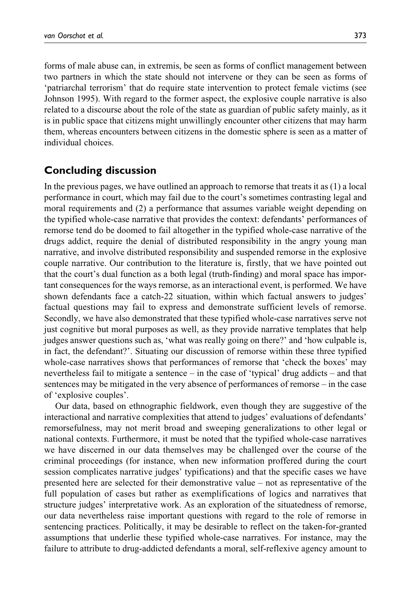forms of male abuse can, in extremis, be seen as forms of conflict management between two partners in which the state should not intervene or they can be seen as forms of 'patriarchal terrorism' that do require state intervention to protect female victims (see Johnson 1995). With regard to the former aspect, the explosive couple narrative is also related to a discourse about the role of the state as guardian of public safety mainly, as it is in public space that citizens might unwillingly encounter other citizens that may harm them, whereas encounters between citizens in the domestic sphere is seen as a matter of individual choices.

### Concluding discussion

In the previous pages, we have outlined an approach to remorse that treats it as (1) a local performance in court, which may fail due to the court's sometimes contrasting legal and moral requirements and (2) a performance that assumes variable weight depending on the typified whole-case narrative that provides the context: defendants' performances of remorse tend do be doomed to fail altogether in the typified whole-case narrative of the drugs addict, require the denial of distributed responsibility in the angry young man narrative, and involve distributed responsibility and suspended remorse in the explosive couple narrative. Our contribution to the literature is, firstly, that we have pointed out that the court's dual function as a both legal (truth-finding) and moral space has important consequences for the ways remorse, as an interactional event, is performed. We have shown defendants face a catch-22 situation, within which factual answers to judges' factual questions may fail to express and demonstrate sufficient levels of remorse. Secondly, we have also demonstrated that these typified whole-case narratives serve not just cognitive but moral purposes as well, as they provide narrative templates that help judges answer questions such as, 'what was really going on there?' and 'how culpable is, in fact, the defendant?'. Situating our discussion of remorse within these three typified whole-case narratives shows that performances of remorse that 'check the boxes' may nevertheless fail to mitigate a sentence – in the case of 'typical' drug addicts – and that sentences may be mitigated in the very absence of performances of remorse – in the case of 'explosive couples'.

Our data, based on ethnographic fieldwork, even though they are suggestive of the interactional and narrative complexities that attend to judges' evaluations of defendants' remorsefulness, may not merit broad and sweeping generalizations to other legal or national contexts. Furthermore, it must be noted that the typified whole-case narratives we have discerned in our data themselves may be challenged over the course of the criminal proceedings (for instance, when new information proffered during the court session complicates narrative judges' typifications) and that the specific cases we have presented here are selected for their demonstrative value – not as representative of the full population of cases but rather as exemplifications of logics and narratives that structure judges' interpretative work. As an exploration of the situatedness of remorse, our data nevertheless raise important questions with regard to the role of remorse in sentencing practices. Politically, it may be desirable to reflect on the taken-for-granted assumptions that underlie these typified whole-case narratives. For instance, may the failure to attribute to drug-addicted defendants a moral, self-reflexive agency amount to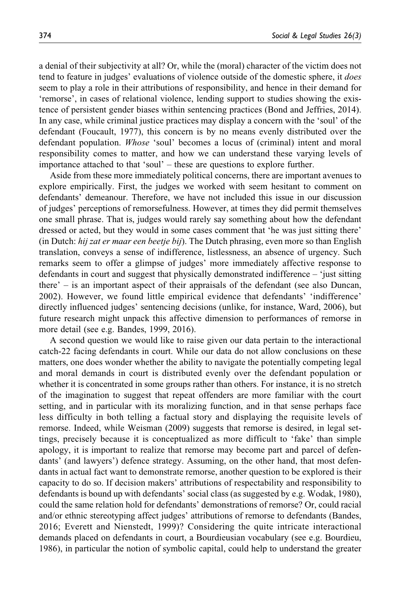a denial of their subjectivity at all? Or, while the (moral) character of the victim does not tend to feature in judges' evaluations of violence outside of the domestic sphere, it *does* seem to play a role in their attributions of responsibility, and hence in their demand for 'remorse', in cases of relational violence, lending support to studies showing the existence of persistent gender biases within sentencing practices (Bond and Jeffries, 2014). In any case, while criminal justice practices may display a concern with the 'soul' of the defendant (Foucault, 1977), this concern is by no means evenly distributed over the defendant population. Whose 'soul' becomes a locus of (criminal) intent and moral responsibility comes to matter, and how we can understand these varying levels of importance attached to that 'soul' – these are questions to explore further.

Aside from these more immediately political concerns, there are important avenues to explore empirically. First, the judges we worked with seem hesitant to comment on defendants' demeanour. Therefore, we have not included this issue in our discussion of judges' perceptions of remorsefulness. However, at times they did permit themselves one small phrase. That is, judges would rarely say something about how the defendant dressed or acted, but they would in some cases comment that 'he was just sitting there' (in Dutch: hij zat er maar een beetje bij). The Dutch phrasing, even more so than English translation, conveys a sense of indifference, listlessness, an absence of urgency. Such remarks seem to offer a glimpse of judges' more immediately affective response to defendants in court and suggest that physically demonstrated indifference – 'just sitting there' – is an important aspect of their appraisals of the defendant (see also Duncan, 2002). However, we found little empirical evidence that defendants' 'indifference' directly influenced judges' sentencing decisions (unlike, for instance, Ward, 2006), but future research might unpack this affective dimension to performances of remorse in more detail (see e.g. Bandes, 1999, 2016).

A second question we would like to raise given our data pertain to the interactional catch-22 facing defendants in court. While our data do not allow conclusions on these matters, one does wonder whether the ability to navigate the potentially competing legal and moral demands in court is distributed evenly over the defendant population or whether it is concentrated in some groups rather than others. For instance, it is no stretch of the imagination to suggest that repeat offenders are more familiar with the court setting, and in particular with its moralizing function, and in that sense perhaps face less difficulty in both telling a factual story and displaying the requisite levels of remorse. Indeed, while Weisman (2009) suggests that remorse is desired, in legal settings, precisely because it is conceptualized as more difficult to 'fake' than simple apology, it is important to realize that remorse may become part and parcel of defendants' (and lawyers') defence strategy. Assuming, on the other hand, that most defendants in actual fact want to demonstrate remorse, another question to be explored is their capacity to do so. If decision makers' attributions of respectability and responsibility to defendants is bound up with defendants' social class (as suggested by e.g. Wodak, 1980), could the same relation hold for defendants' demonstrations of remorse? Or, could racial and/or ethnic stereotyping affect judges' attributions of remorse to defendants (Bandes, 2016; Everett and Nienstedt, 1999)? Considering the quite intricate interactional demands placed on defendants in court, a Bourdieusian vocabulary (see e.g. Bourdieu, 1986), in particular the notion of symbolic capital, could help to understand the greater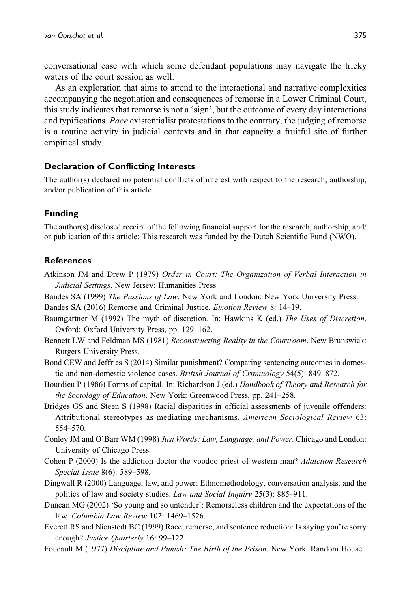conversational ease with which some defendant populations may navigate the tricky waters of the court session as well.

As an exploration that aims to attend to the interactional and narrative complexities accompanying the negotiation and consequences of remorse in a Lower Criminal Court, this study indicates that remorse is not a 'sign', but the outcome of every day interactions and typifications. Pace existentialist protestations to the contrary, the judging of remorse is a routine activity in judicial contexts and in that capacity a fruitful site of further empirical study.

#### Declaration of Conflicting Interests

The author(s) declared no potential conflicts of interest with respect to the research, authorship, and/or publication of this article.

#### Funding

The author(s) disclosed receipt of the following financial support for the research, authorship, and/ or publication of this article: This research was funded by the Dutch Scientific Fund (NWO).

#### **References**

- Atkinson JM and Drew P (1979) Order in Court: The Organization of Verbal Interaction in Judicial Settings. New Jersey: Humanities Press.
- Bandes SA (1999) The Passions of Law. New York and London: New York University Press.

Bandes SA (2016) Remorse and Criminal Justice. Emotion Review 8: 14–19.

- Baumgartner M (1992) The myth of discretion. In: Hawkins K (ed.) The Uses of Discretion. Oxford: Oxford University Press, pp. 129–162.
- Bennett LW and Feldman MS (1981) Reconstructing Reality in the Courtroom. New Brunswick: Rutgers University Press.
- Bond CEW and Jeffries S (2014) Similar punishment? Comparing sentencing outcomes in domestic and non-domestic violence cases. British Journal of Criminology 54(5): 849–872.
- Bourdieu P (1986) Forms of capital. In: Richardson J (ed.) Handbook of Theory and Research for the Sociology of Education. New York: Greenwood Press, pp. 241–258.
- Bridges GS and Steen S (1998) Racial disparities in official assessments of juvenile offenders: Attributional stereotypes as mediating mechanisms. American Sociological Review 63: 554–570.
- Conley JM and O'Barr WM (1998) Just Words: Law, Language, and Power. Chicago and London: University of Chicago Press.
- Cohen P (2000) Is the addiction doctor the voodoo priest of western man? Addiction Research Special Issue 8(6): 589–598.
- Dingwall R (2000) Language, law, and power: Ethnomethodology, conversation analysis, and the politics of law and society studies. Law and Social Inquiry 25(3): 885-911.
- Duncan MG (2002) 'So young and so untender': Remorseless children and the expectations of the law. Columbia Law Review 102: 1469–1526.
- Everett RS and Nienstedt BC (1999) Race, remorse, and sentence reduction: Is saying you're sorry enough? Justice Quarterly 16: 99–122.

Foucault M (1977) Discipline and Punish: The Birth of the Prison. New York: Random House.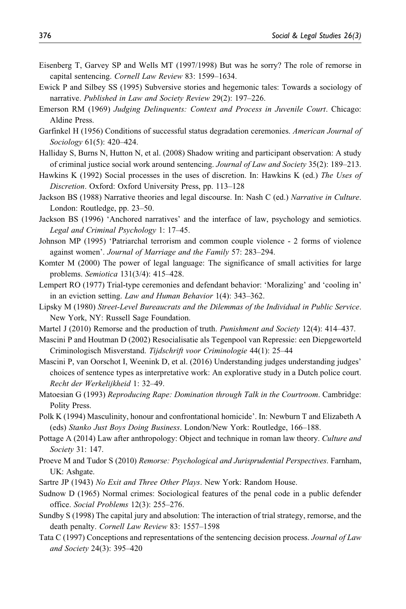- Eisenberg T, Garvey SP and Wells MT (1997/1998) But was he sorry? The role of remorse in capital sentencing. Cornell Law Review 83: 1599–1634.
- Ewick P and Silbey SS (1995) Subversive stories and hegemonic tales: Towards a sociology of narrative. Published in Law and Society Review 29(2): 197–226.
- Emerson RM (1969) Judging Delinquents: Context and Process in Juvenile Court. Chicago: Aldine Press.
- Garfinkel H (1956) Conditions of successful status degradation ceremonies. American Journal of Sociology 61(5): 420–424.
- Halliday S, Burns N, Hutton N, et al. (2008) Shadow writing and participant observation: A study of criminal justice social work around sentencing. Journal of Law and Society 35(2): 189–213.
- Hawkins K (1992) Social processes in the uses of discretion. In: Hawkins K (ed.) The Uses of Discretion. Oxford: Oxford University Press, pp. 113–128
- Jackson BS (1988) Narrative theories and legal discourse. In: Nash C (ed.) Narrative in Culture. London: Routledge, pp. 23–50.
- Jackson BS (1996) 'Anchored narratives' and the interface of law, psychology and semiotics. Legal and Criminal Psychology 1: 17–45.
- Johnson MP (1995) 'Patriarchal terrorism and common couple violence 2 forms of violence against women'. Journal of Marriage and the Family 57: 283–294.
- Komter M (2000) The power of legal language: The significance of small activities for large problems. Semiotica 131(3/4): 415–428.
- Lempert RO (1977) Trial-type ceremonies and defendant behavior: 'Moralizing' and 'cooling in' in an eviction setting. Law and Human Behavior 1(4): 343–362.
- Lipsky M (1980) Street-Level Bureaucrats and the Dilemmas of the Individual in Public Service. New York, NY: Russell Sage Foundation.
- Martel J (2010) Remorse and the production of truth. *Punishment and Society* 12(4): 414–437.
- Mascini P and Houtman D (2002) Resocialisatie als Tegenpool van Repressie: een Diepgeworteld Criminologisch Misverstand. Tijdschrift voor Criminologie 44(1): 25–44
- Mascini P, van Oorschot I, Weenink D, et al. (2016) Understanding judges understanding judges' choices of sentence types as interpretative work: An explorative study in a Dutch police court. Recht der Werkelijkheid 1: 32–49.
- Matoesian G (1993) Reproducing Rape: Domination through Talk in the Courtroom. Cambridge: Polity Press.
- Polk K (1994) Masculinity, honour and confrontational homicide'. In: Newburn T and Elizabeth A (eds) Stanko Just Boys Doing Business. London/New York: Routledge, 166–188.
- Pottage A (2014) Law after anthropology: Object and technique in roman law theory. Culture and Society 31: 147.
- Proeve M and Tudor S (2010) Remorse: Psychological and Jurisprudential Perspectives. Farnham, UK: Ashgate.
- Sartre JP (1943) No Exit and Three Other Plays. New York: Random House.
- Sudnow D (1965) Normal crimes: Sociological features of the penal code in a public defender office. Social Problems 12(3): 255–276.
- Sundby S (1998) The capital jury and absolution: The interaction of trial strategy, remorse, and the death penalty. Cornell Law Review 83: 1557–1598
- Tata C (1997) Conceptions and representations of the sentencing decision process. Journal of Law and Society 24(3): 395–420